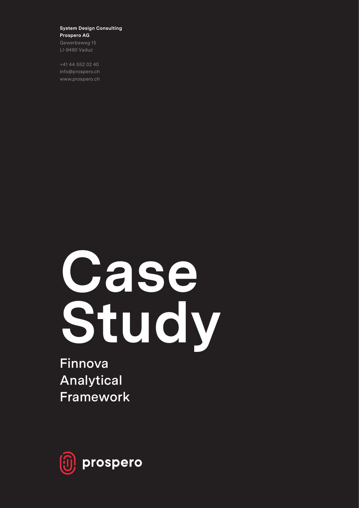### **System Design Consulting Prospero AG**

Gewerbeweg 15 LI-9490 Vaduz

+41 44 552 02 40 info@prospero.ch www.prospero.ch

# **Case Study**

**Finnova Analytical Framework**

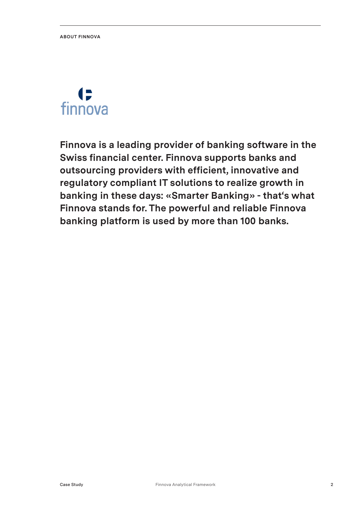# G finnova

**Finnova is a leading provider of banking software in the Swiss financial center. Finnova supports banks and outsourcing providers with efficient, innovative and regulatory compliant IT solutions to realize growth in banking in these days: «Smarter Banking» - that's what Finnova stands for. The powerful and reliable Finnova banking platform is used by more than 100 banks.**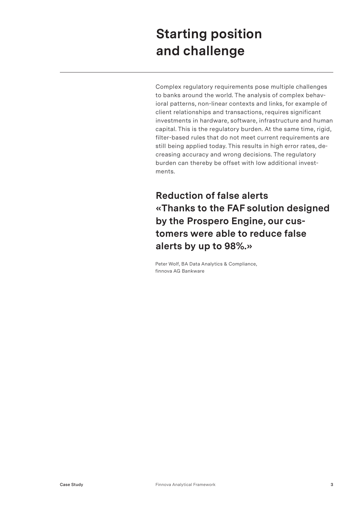## **Starting position and challenge**

Complex regulatory requirements pose multiple challenges to banks around the world. The analysis of complex behavioral patterns, non-linear contexts and links, for example of client relationships and transactions, requires significant investments in hardware, software, infrastructure and human capital. This is the regulatory burden. At the same time, rigid, filter-based rules that do not meet current requirements are still being applied today. This results in high error rates, decreasing accuracy and wrong decisions. The regulatory burden can thereby be offset with low additional investments.

## **Reduction of false alerts «Thanks to the FAF solution designed by the Prospero Engine, our customers were able to reduce false alerts by up to 98%.»**

Peter Wolf, BA Data Analytics & Compliance, finnova AG Bankware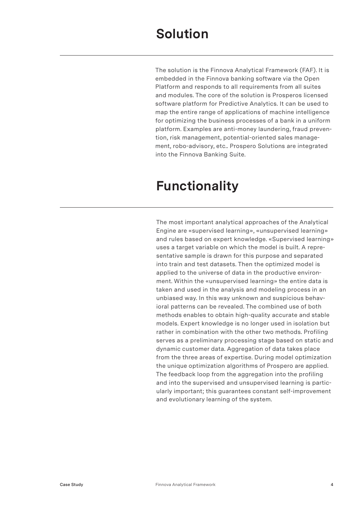The solution is the Finnova Analytical Framework (FAF). It is embedded in the Finnova banking software via the Open Platform and responds to all requirements from all suites and modules. The core of the solution is Prosperos licensed software platform for Predictive Analytics. It can be used to map the entire range of applications of machine intelligence for optimizing the business processes of a bank in a uniform platform. Examples are anti-money laundering, fraud prevention, risk management, potential-oriented sales management, robo-advisory, etc.. Prospero Solutions are integrated into the Finnova Banking Suite.

## **Functionality**

The most important analytical approaches of the Analytical Engine are «supervised learning», «unsupervised learning» and rules based on expert knowledge. «Supervised learning» uses a target variable on which the model is built. A representative sample is drawn for this purpose and separated into train and test datasets. Then the optimized model is applied to the universe of data in the productive environment. Within the «unsupervised learning» the entire data is taken and used in the analysis and modeling process in an unbiased way. In this way unknown and suspicious behavioral patterns can be revealed. The combined use of both methods enables to obtain high-quality accurate and stable models. Expert knowledge is no longer used in isolation but rather in combination with the other two methods. Profiling serves as a preliminary processing stage based on static and dynamic customer data. Aggregation of data takes place from the three areas of expertise. During model optimization the unique optimization algorithms of Prospero are applied. The feedback loop from the aggregation into the profiling and into the supervised and unsupervised learning is particularly important; this guarantees constant self-improvement and evolutionary learning of the system.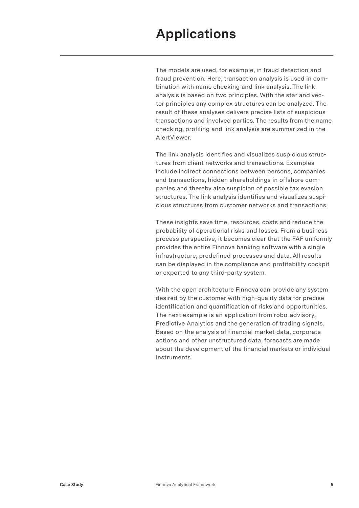## **Applications**

The models are used, for example, in fraud detection and fraud prevention. Here, transaction analysis is used in combination with name checking and link analysis. The link analysis is based on two principles. With the star and vector principles any complex structures can be analyzed. The result of these analyses delivers precise lists of suspicious transactions and involved parties. The results from the name checking, profiling and link analysis are summarized in the AlertViewer.

The link analysis identifies and visualizes suspicious structures from client networks and transactions. Examples include indirect connections between persons, companies and transactions, hidden shareholdings in offshore companies and thereby also suspicion of possible tax evasion structures. The link analysis identifies and visualizes suspicious structures from customer networks and transactions.

These insights save time, resources, costs and reduce the probability of operational risks and losses. From a business process perspective, it becomes clear that the FAF uniformly provides the entire Finnova banking software with a single infrastructure, predefined processes and data. All results can be displayed in the compliance and profitability cockpit or exported to any third-party system.

With the open architecture Finnova can provide any system desired by the customer with high-quality data for precise identification and quantification of risks and opportunities. The next example is an application from robo-advisory, Predictive Analytics and the generation of trading signals. Based on the analysis of financial market data, corporate actions and other unstructured data, forecasts are made about the development of the financial markets or individual instruments.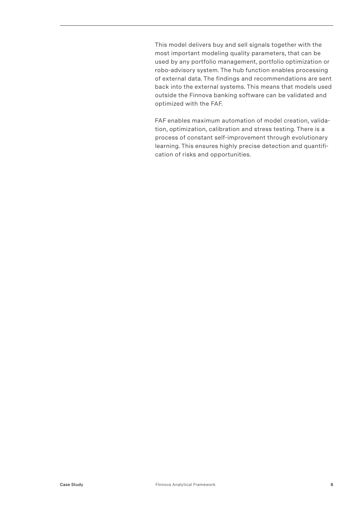This model delivers buy and sell signals together with the most important modeling quality parameters, that can be used by any portfolio management, portfolio optimization or robo-advisory system. The hub function enables processing of external data. The findings and recommendations are sent back into the external systems. This means that models used outside the Finnova banking software can be validated and optimized with the FAF.

FAF enables maximum automation of model creation, validation, optimization, calibration and stress testing. There is a process of constant self-improvement through evolutionary learning. This ensures highly precise detection and quantification of risks and opportunities.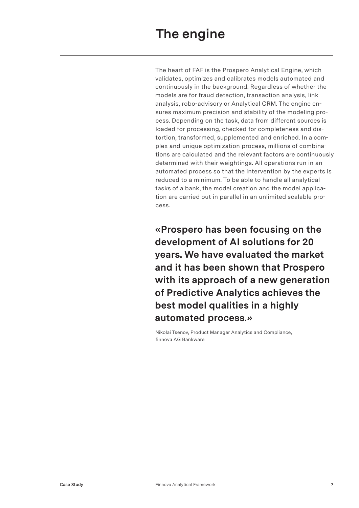The heart of FAF is the Prospero Analytical Engine, which validates, optimizes and calibrates models automated and continuously in the background. Regardless of whether the models are for fraud detection, transaction analysis, link analysis, robo-advisory or Analytical CRM. The engine ensures maximum precision and stability of the modeling process. Depending on the task, data from different sources is loaded for processing, checked for completeness and distortion, transformed, supplemented and enriched. In a complex and unique optimization process, millions of combinations are calculated and the relevant factors are continuously determined with their weightings. All operations run in an automated process so that the intervention by the experts is reduced to a minimum. To be able to handle all analytical tasks of a bank, the model creation and the model application are carried out in parallel in an unlimited scalable process.

**«Prospero has been focusing on the development of AI solutions for 20 years. We have evaluated the market and it has been shown that Prospero with its approach of a new generation of Predictive Analytics achieves the best model qualities in a highly automated process.»**

Nikolai Tsenov, Product Manager Analytics and Compliance, finnova AG Bankware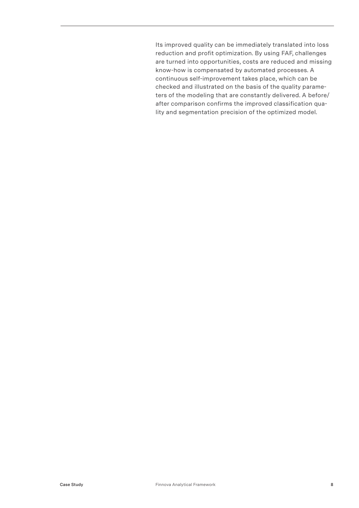Its improved quality can be immediately translated into loss reduction and profit optimization. By using FAF, challenges are turned into opportunities, costs are reduced and missing know-how is compensated by automated processes. A continuous self-improvement takes place, which can be checked and illustrated on the basis of the quality parameters of the modeling that are constantly delivered. A before/ after comparison confirms the improved classification quality and segmentation precision of the optimized model.